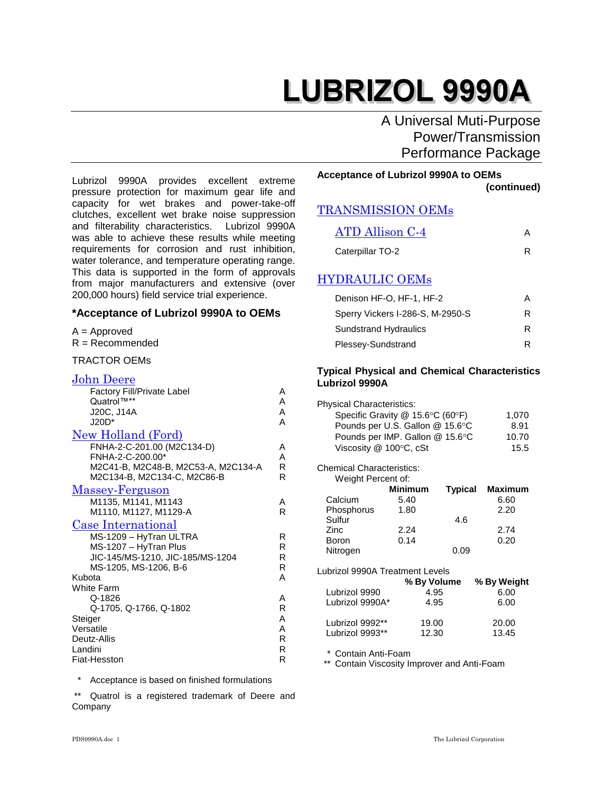A Universal Muti-Purpose Power/Transmission Performance Package

Lubrizol 9990A provides excellent extreme pressure protection for maximum gear life and capacity for wet brakes and power-take-off clutches, excellent wet brake noise suppression and filterability characteristics. Lubrizol 9990A was able to achieve these results while meeting requirements for corrosion and rust inhibition, water tolerance, and temperature operating range. This data is supported in the form of approvals from major manufacturers and extensive (over 200,000 hours) field service trial experience.

#### **\*Acceptance of Lubrizol 9990A to OEMs**

### A = Approved

 $R = Recommended$ 

#### John Deere

| Factory Fill/Private Label<br>Quatrol™**<br>J20C, J14A<br>$J20D^*$                                                                           | Α<br>A<br>A<br>A                 |
|----------------------------------------------------------------------------------------------------------------------------------------------|----------------------------------|
| New Holland (Ford)<br>FNHA-2-C-201.00 (M2C134-D)<br>FNHA-2-C-200.00*<br>M2C41-B, M2C48-B, M2C53-A, M2C134-A<br>M2C134-B, M2C134-C, M2C86-B   | A<br>A<br>R<br>R.                |
| Massey-Ferguson<br>M1135, M1141, M1143<br>M1110, M1127, M1129-A                                                                              | A<br>R                           |
| Case International<br>MS-1209 - HyTran ULTRA<br>MS-1207 - HyTran Plus<br>JIC-145/MS-1210, JIC-185/MS-1204<br>MS-1205, MS-1206, B-6<br>Kubota | R<br>R.<br>R<br>R.<br>A          |
| White Farm<br>Q-1826<br>Q-1705, Q-1766, Q-1802<br>Steiger<br>Versatile<br>Deutz-Allis<br>Landini<br>Fiat-Hesston                             | А<br>R<br>A<br>A<br>R.<br>R<br>R |

**Acceptance of Lubrizol 9990A to OEMs (continued)**

### TRANSMISSION OEMs

| <b>ATD Allison C-4</b> |  |
|------------------------|--|
| Caterpillar TO-2       |  |

### HYDRAULIC OEMs

| Denison HF-O, HF-1, HF-2         | А |
|----------------------------------|---|
| Sperry Vickers I-286-S, M-2950-S | R |
| <b>Sundstrand Hydraulics</b>     | R |
| Plessey-Sundstrand               | R |

#### **Typical Physical and Chemical Characteristics Lubrizol 9990A**

| <b>Physical Characteristics:</b>   |                |      |                        |
|------------------------------------|----------------|------|------------------------|
| Specific Gravity $@$ 15.6°C (60°F) |                |      | 1,070                  |
| Pounds per U.S. Gallon @ 15.6°C    |                |      | 8.91                   |
| Pounds per IMP. Gallon @ 15.6°C    |                |      | 10.70                  |
| Viscosity $@$ 100 $°C$ , cSt       |                |      | 15.5                   |
| <b>Chemical Characteristics:</b>   |                |      |                        |
| Weight Percent of:                 |                |      |                        |
|                                    | <b>Minimum</b> |      | <b>Typical Maximum</b> |
| Calcium                            | 5.40           |      | 6.60                   |
| Phosphorus                         | 1.80           |      | 2.20                   |
| Sulfur                             |                | 4.6  |                        |
| Zinc                               | 2.24           |      | 2.74                   |
| Boron                              | 0.14           |      | 0.20                   |
| Nitrogen                           |                | 0.09 |                        |
| Lubrizol 9990A Treatment Levels    |                |      |                        |
|                                    | % By Volume    |      | % By Weight            |
| Lubrizol 9990                      | 4.95           |      | 6.00                   |
| Lubrizol 9990A*                    | 4.95           |      | 6.00                   |
| Lubrizol 9992**                    | 19.00          |      | 20.00                  |
| Lubrizol 9993**                    | 12.30          |      | 13.45                  |
| Contain Anti-Foam                  |                |      |                        |

\*\* Contain Viscosity Improver and Anti-Foam

\* Acceptance is based on finished formulations

\*\* Quatrol is a registered trademark of Deere and Company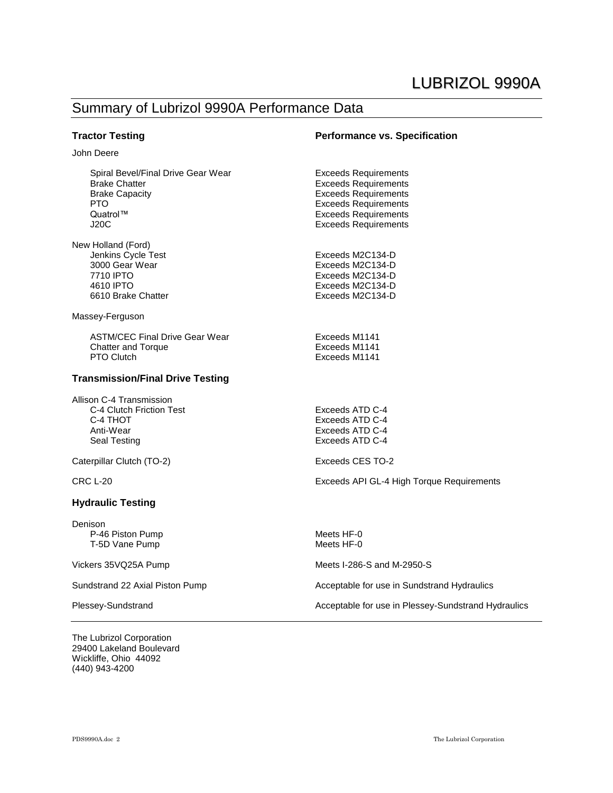### Summary of Lubrizol 9990A Performance Data

John Deere

#### **Tractor Testing Performance vs. Specification**

Exceeds Requirements

Spiral Bevel/Final Drive Gear Wear **Exceeds Requirements**<br>Brake Chatter **Exceeds** Requirements Brake Chatter **Exceeds Requirements**<br>Brake Capacity **Exceeds Requirements** Brake Capacity<br>
PTO<br>
PTO<br>
Exceeds Requirements PTO Exceeds Requirements<br>Quatrol™ Exceeds Requirements J20C Exceeds Requirements

| New Holland (Ford) |                  |
|--------------------|------------------|
| Jenkins Cycle Test | Exceeds M2C134-D |
| 3000 Gear Wear     | Exceeds M2C134-D |
| 7710 IPTO          | Exceeds M2C134-D |
| 4610 IPTO          | Exceeds M2C134-D |
| 6610 Brake Chatter | Exceeds M2C134-D |
|                    |                  |

Massey-Ferguson

ASTM/CEC Final Drive Gear Wear **Exceeds M1141**<br>Chatter and Torque **Exceeds** M1141 Chatter and Torque<br>PTO Clutch

#### **Transmission/Final Drive Testing**

Allison C-4 Transmission C-4 Clutch Friction Test Exceeds ATD C-4 C-4 THOT Exceeds ATD C-4 Anti-Wear Exceeds ATD C-4<br>
Seal Testing Exceeds ATD C-4

Caterpillar Clutch (TO-2) Exceeds CES TO-2

#### **Hydraulic Testing**

Denison P-46 Piston Pump Meets HF-0<br>T-5D Vane Pump Meets HF-0 T-5D Vane Pump

The Lubrizol Corporation 29400 Lakeland Boulevard Wickliffe, Ohio 44092 (440) 943-4200

Exceeds ATD C-4

Exceeds M1141

CRC L-20 Exceeds API GL-4 High Torque Requirements

Vickers 35VQ25A Pump Meets I-286-S and M-2950-S

Sundstrand 22 Axial Piston Pump Acceptable for use in Sundstrand Hydraulics

Plessey-Sundstrand **Acceptable for use in Plessey-Sundstrand Hydraulics** Acceptable for use in Plessey-Sundstrand Hydraulics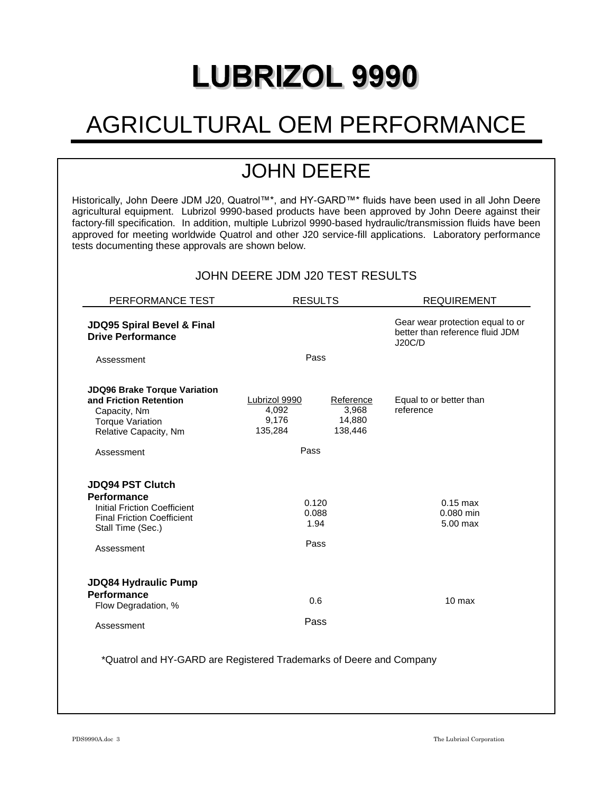# **LUBRIZOL 9990**

# AGRICULTURAL OEM PERFORMANCE

## JOHN DEERE

Historically, John Deere JDM J20, Quatrol™\*, and HY-GARD™\* fluids have been used in all John Deere agricultural equipment. Lubrizol 9990-based products have been approved by John Deere against their factory-fill specification. In addition, multiple Lubrizol 9990-based hydraulic/transmission fluids have been approved for meeting worldwide Quatrol and other J20 service-fill applications. Laboratory performance tests documenting these approvals are shown below.

| JOHN DEERE JDM J20 TEST RESULTS |  |  |  |
|---------------------------------|--|--|--|
|---------------------------------|--|--|--|

| PERFORMANCE TEST                                                                                                                                      | <b>RESULTS</b>                             |                                         | <b>REQUIREMENT</b>                                                                   |  |
|-------------------------------------------------------------------------------------------------------------------------------------------------------|--------------------------------------------|-----------------------------------------|--------------------------------------------------------------------------------------|--|
| JDQ95 Spiral Bevel & Final<br><b>Drive Performance</b>                                                                                                |                                            |                                         | Gear wear protection equal to or<br>better than reference fluid JDM<br><b>J20C/D</b> |  |
| Assessment                                                                                                                                            | Pass                                       |                                         |                                                                                      |  |
| <b>JDQ96 Brake Torque Variation</b><br>and Friction Retention<br>Capacity, Nm<br><b>Torque Variation</b><br>Relative Capacity, Nm                     | Lubrizol 9990<br>4,092<br>9,176<br>135,284 | Reference<br>3,968<br>14,880<br>138,446 | Equal to or better than<br>reference                                                 |  |
| Assessment                                                                                                                                            | Pass                                       |                                         |                                                                                      |  |
| <b>JDQ94 PST Clutch</b><br><b>Performance</b><br>Initial Friction Coefficient<br><b>Final Friction Coefficient</b><br>Stall Time (Sec.)<br>Assessment | 0.120<br>0.088<br>1.94<br>Pass             |                                         | $0.15$ max<br>0.080 min<br>5.00 max                                                  |  |
| <b>JDQ84 Hydraulic Pump</b><br>Performance<br>Flow Degradation, %<br>Assessment                                                                       | 0.6<br>Pass                                |                                         | $10$ max                                                                             |  |
| *Quatrol and HY-GARD are Registered Trademarks of Deere and Company                                                                                   |                                            |                                         |                                                                                      |  |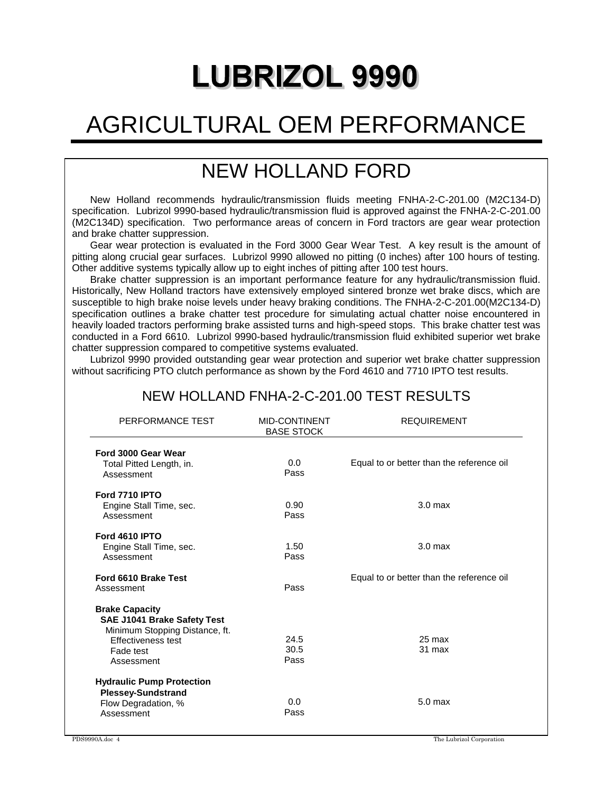# **LUBRIZOL 9990**

# AGRICULTURAL OEM PERFORMANCE

## NEW HOLLAND FORD

New Holland recommends hydraulic/transmission fluids meeting FNHA-2-C-201.00 (M2C134-D) specification. Lubrizol 9990-based hydraulic/transmission fluid is approved against the FNHA-2-C-201.00 (M2C134D) specification. Two performance areas of concern in Ford tractors are gear wear protection and brake chatter suppression.

Gear wear protection is evaluated in the Ford 3000 Gear Wear Test. A key result is the amount of pitting along crucial gear surfaces. Lubrizol 9990 allowed no pitting (0 inches) after 100 hours of testing. Other additive systems typically allow up to eight inches of pitting after 100 test hours.

Brake chatter suppression is an important performance feature for any hydraulic/transmission fluid. Historically, New Holland tractors have extensively employed sintered bronze wet brake discs, which are susceptible to high brake noise levels under heavy braking conditions. The FNHA-2-C-201.00(M2C134-D) specification outlines a brake chatter test procedure for simulating actual chatter noise encountered in heavily loaded tractors performing brake assisted turns and high-speed stops. This brake chatter test was conducted in a Ford 6610. Lubrizol 9990-based hydraulic/transmission fluid exhibited superior wet brake chatter suppression compared to competitive systems evaluated.

Lubrizol 9990 provided outstanding gear wear protection and superior wet brake chatter suppression without sacrificing PTO clutch performance as shown by the Ford 4610 and 7710 IPTO test results.

| PERFORMANCE TEST                                                                                                                        | <b>MID-CONTINENT</b><br><b>BASE STOCK</b> | <b>REQUIREMENT</b>                        |
|-----------------------------------------------------------------------------------------------------------------------------------------|-------------------------------------------|-------------------------------------------|
| Ford 3000 Gear Wear<br>Total Pitted Length, in.<br>Assessment                                                                           | 0.0<br>Pass                               | Equal to or better than the reference oil |
| <b>Ford 7710 IPTO</b><br>Engine Stall Time, sec.<br>Assessment                                                                          | 0.90<br>Pass                              | 3.0 <sub>max</sub>                        |
| <b>Ford 4610 IPTO</b><br>Engine Stall Time, sec.<br>Assessment                                                                          | 1.50<br>Pass                              | 3.0 <sub>max</sub>                        |
| Ford 6610 Brake Test<br>Assessment                                                                                                      | Pass                                      | Equal to or better than the reference oil |
| <b>Brake Capacity</b><br>SAE J1041 Brake Safety Test<br>Minimum Stopping Distance, ft.<br>Effectiveness test<br>Fade test<br>Assessment | 24.5<br>30.5<br>Pass                      | 25 max<br>31 max                          |
| <b>Hydraulic Pump Protection</b><br><b>Plessey-Sundstrand</b><br>Flow Degradation, %<br>Assessment                                      | 0.0<br>Pass                               | 5.0 <sub>max</sub>                        |

## NEW HOLLAND FNHA-2-C-201.00 TEST RESULTS

PDS9990A.doc 4 The Lubrizol Corporation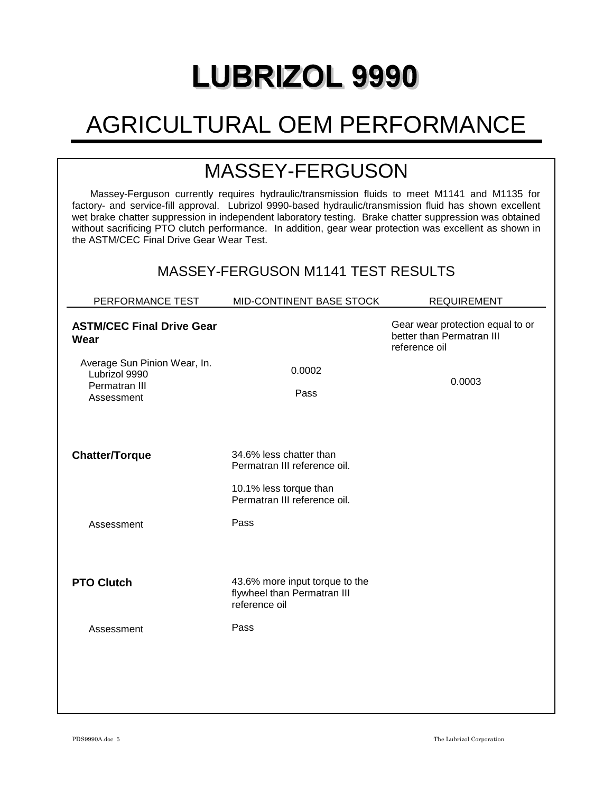# **LUBRIZOL 9990**

# AGRICULTURAL OEM PERFORMANCE

## MASSEY-FERGUSON

Massey-Ferguson currently requires hydraulic/transmission fluids to meet M1141 and M1135 for factory- and service-fill approval. Lubrizol 9990-based hydraulic/transmission fluid has shown excellent wet brake chatter suppression in independent laboratory testing. Brake chatter suppression was obtained without sacrificing PTO clutch performance. In addition, gear wear protection was excellent as shown in the ASTM/CEC Final Drive Gear Wear Test.

## MASSEY-FERGUSON M1141 TEST RESULTS

| PERFORMANCE TEST                                                             | MID-CONTINENT BASE STOCK                                                       | <b>REQUIREMENT</b>                                                             |
|------------------------------------------------------------------------------|--------------------------------------------------------------------------------|--------------------------------------------------------------------------------|
| <b>ASTM/CEC Final Drive Gear</b><br>Wear                                     |                                                                                | Gear wear protection equal to or<br>better than Permatran III<br>reference oil |
| Average Sun Pinion Wear, In.<br>Lubrizol 9990<br>Permatran III<br>Assessment | 0.0002<br>Pass                                                                 | 0.0003                                                                         |
| <b>Chatter/Torque</b>                                                        | 34.6% less chatter than<br>Permatran III reference oil.                        |                                                                                |
|                                                                              | 10.1% less torque than<br>Permatran III reference oil.                         |                                                                                |
| Assessment                                                                   | Pass                                                                           |                                                                                |
|                                                                              |                                                                                |                                                                                |
| <b>PTO Clutch</b>                                                            | 43.6% more input torque to the<br>flywheel than Permatran III<br>reference oil |                                                                                |
| Assessment                                                                   | Pass                                                                           |                                                                                |
|                                                                              |                                                                                |                                                                                |
|                                                                              |                                                                                |                                                                                |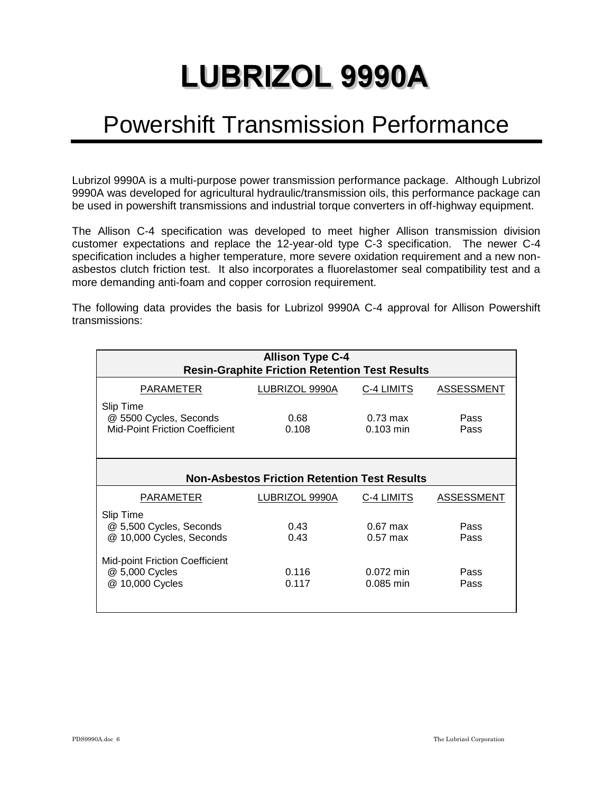# Powershift Transmission Performance

Lubrizol 9990A is a multi-purpose power transmission performance package. Although Lubrizol 9990A was developed for agricultural hydraulic/transmission oils, this performance package can be used in powershift transmissions and industrial torque converters in off-highway equipment.

The Allison C-4 specification was developed to meet higher Allison transmission division customer expectations and replace the 12-year-old type C-3 specification. The newer C-4 specification includes a higher temperature, more severe oxidation requirement and a new nonasbestos clutch friction test. It also incorporates a fluorelastomer seal compatibility test and a more demanding anti-foam and copper corrosion requirement.

The following data provides the basis for Lubrizol 9990A C-4 approval for Allison Powershift transmissions:

| <b>Allison Type C-4</b><br><b>Resin-Graphite Friction Retention Test Results</b> |                                                     |                                   |                   |  |
|----------------------------------------------------------------------------------|-----------------------------------------------------|-----------------------------------|-------------------|--|
| PARAMETER                                                                        | LUBRIZOL 9990A                                      | C-4 LIMITS                        | <b>ASSESSMENT</b> |  |
| Slip Time<br>@ 5500 Cycles, Seconds<br>Mid-Point Friction Coefficient            | 0.68<br>0.108                                       | $0.73 \text{ max}$<br>$0.103$ min | Pass<br>Pass      |  |
|                                                                                  | <b>Non-Asbestos Friction Retention Test Results</b> |                                   |                   |  |
| PARAMETER                                                                        | LUBRIZOL 9990A                                      | C-4 LIMITS                        | <b>ASSESSMENT</b> |  |
| Slip Time<br>@ 5,500 Cycles, Seconds<br>@ 10,000 Cycles, Seconds                 | 0.43<br>0.43                                        | $0.67$ max<br>$0.57$ max          | Pass<br>Pass      |  |
| Mid-point Friction Coefficient<br>@ 5,000 Cycles<br>@ 10,000 Cycles              | 0.116<br>0.117                                      | $0.072$ min<br>$0.085$ min        | Pass<br>Pass      |  |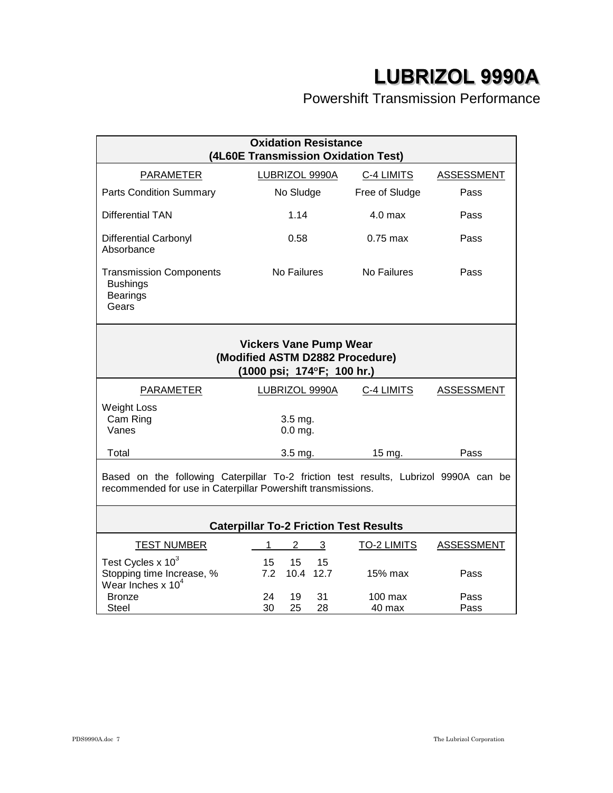## Powershift Transmission Performance

| <b>Oxidation Resistance</b><br>(4L60E Transmission Oxidation Test)                                                                                   |                                       |                    |                   |
|------------------------------------------------------------------------------------------------------------------------------------------------------|---------------------------------------|--------------------|-------------------|
| <b>PARAMETER</b>                                                                                                                                     | LUBRIZOL 9990A                        | C-4 LIMITS         | <b>ASSESSMENT</b> |
| <b>Parts Condition Summary</b>                                                                                                                       | No Sludge                             | Free of Sludge     | Pass              |
| <b>Differential TAN</b>                                                                                                                              | 1.14                                  | 4.0 max            | Pass              |
| <b>Differential Carbonyl</b><br>Absorbance                                                                                                           | 0.58                                  | $0.75$ max         | Pass              |
| <b>Transmission Components</b><br><b>Bushings</b><br><b>Bearings</b><br>Gears                                                                        | No Failures                           | No Failures        | Pass              |
| <b>Vickers Vane Pump Wear</b><br>(Modified ASTM D2882 Procedure)<br>(1000 psi; 174°F; 100 hr.)                                                       |                                       |                    |                   |
| <b>PARAMETER</b>                                                                                                                                     | LUBRIZOL 9990A                        | C-4 LIMITS         | <b>ASSESSMENT</b> |
| <b>Weight Loss</b><br>Cam Ring<br>Vanes                                                                                                              | 3.5 mg.<br>$0.0$ mg.                  |                    |                   |
| Total                                                                                                                                                | $3.5$ mg.                             | 15 mg.             | Pass              |
| Based on the following Caterpillar To-2 friction test results, Lubrizol 9990A can be<br>recommended for use in Caterpillar Powershift transmissions. |                                       |                    |                   |
| <b>Caterpillar To-2 Friction Test Results</b>                                                                                                        |                                       |                    |                   |
| <b>TEST NUMBER</b>                                                                                                                                   | 2<br>3<br>1                           | <b>TO-2 LIMITS</b> | <b>ASSESSMENT</b> |
| Test Cycles $x$ 10 <sup>3</sup><br>Stopping time Increase, %<br>Wear Inches $x 104$                                                                  | 15<br>15<br>15<br>12.7<br>7.2<br>10.4 | 15% max            | Pass              |
| <b>Bronze</b><br>Steel                                                                                                                               | 19<br>31<br>24<br>30<br>25<br>28      | 100 max<br>40 max  | Pass<br>Pass      |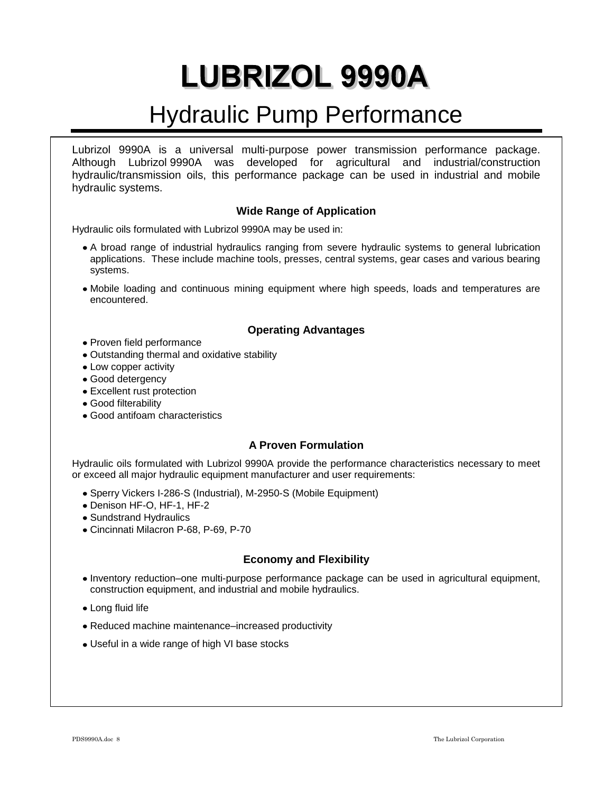# Hydraulic Pump Performance

Lubrizol 9990A is a universal multi-purpose power transmission performance package. Although Lubrizol 9990A was developed for agricultural and industrial/construction hydraulic/transmission oils, this performance package can be used in industrial and mobile hydraulic systems.

### **Wide Range of Application**

Hydraulic oils formulated with Lubrizol 9990A may be used in:

- A broad range of industrial hydraulics ranging from severe hydraulic systems to general lubrication applications. These include machine tools, presses, central systems, gear cases and various bearing systems.
- Mobile loading and continuous mining equipment where high speeds, loads and temperatures are encountered.

### **Operating Advantages**

- Proven field performance
- Outstanding thermal and oxidative stability
- Low copper activity
- Good detergency
- Excellent rust protection
- Good filterability
- Good antifoam characteristics

### **A Proven Formulation**

Hydraulic oils formulated with Lubrizol 9990A provide the performance characteristics necessary to meet or exceed all major hydraulic equipment manufacturer and user requirements:

- Sperry Vickers I-286-S (Industrial), M-2950-S (Mobile Equipment)
- Denison HF-O, HF-1, HF-2
- Sundstrand Hydraulics
- Cincinnati Milacron P-68, P-69, P-70

### **Economy and Flexibility**

- Inventory reduction–one multi-purpose performance package can be used in agricultural equipment, construction equipment, and industrial and mobile hydraulics.
- Long fluid life
- Reduced machine maintenance–increased productivity
- Useful in a wide range of high VI base stocks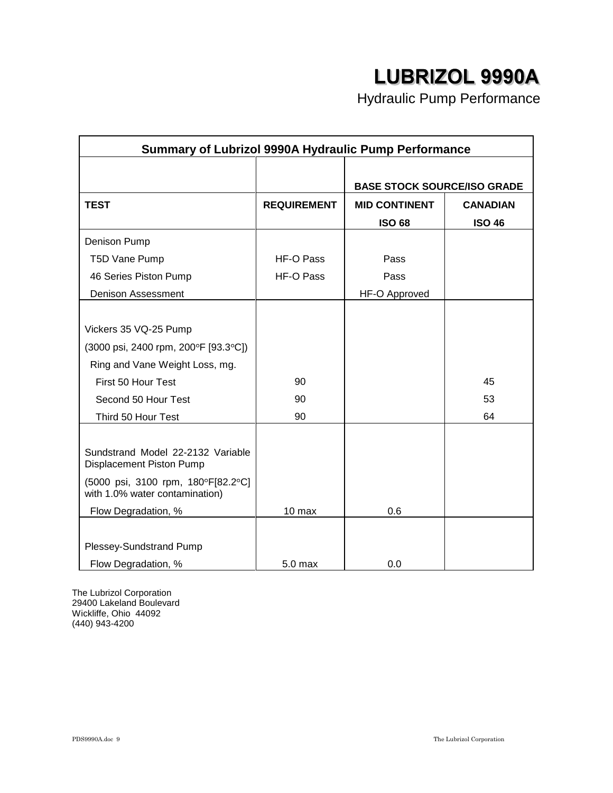Hydraulic Pump Performance

| <b>Summary of Lubrizol 9990A Hydraulic Pump Performance</b>          |                    |                                    |                 |
|----------------------------------------------------------------------|--------------------|------------------------------------|-----------------|
|                                                                      |                    |                                    |                 |
|                                                                      |                    | <b>BASE STOCK SOURCE/ISO GRADE</b> |                 |
| <b>TEST</b>                                                          | <b>REQUIREMENT</b> | <b>MID CONTINENT</b>               | <b>CANADIAN</b> |
|                                                                      |                    | <b>ISO 68</b>                      | <b>ISO 46</b>   |
| Denison Pump                                                         |                    |                                    |                 |
| T5D Vane Pump                                                        | HF-O Pass          | Pass                               |                 |
| 46 Series Piston Pump                                                | HF-O Pass          | Pass                               |                 |
| <b>Denison Assessment</b>                                            |                    | <b>HF-O Approved</b>               |                 |
|                                                                      |                    |                                    |                 |
| Vickers 35 VQ-25 Pump                                                |                    |                                    |                 |
| (3000 psi, 2400 rpm, 200°F [93.3°C])                                 |                    |                                    |                 |
| Ring and Vane Weight Loss, mg.                                       |                    |                                    |                 |
| First 50 Hour Test                                                   | 90                 |                                    | 45              |
| Second 50 Hour Test                                                  | 90                 |                                    | 53              |
| Third 50 Hour Test                                                   | 90                 |                                    | 64              |
|                                                                      |                    |                                    |                 |
| Sundstrand Model 22-2132 Variable<br>Displacement Piston Pump        |                    |                                    |                 |
| (5000 psi, 3100 rpm, 180°F[82.2°C]<br>with 1.0% water contamination) |                    |                                    |                 |
| Flow Degradation, %                                                  | 10 max             | 0.6                                |                 |
|                                                                      |                    |                                    |                 |
| Plessey-Sundstrand Pump                                              |                    |                                    |                 |
| Flow Degradation, %                                                  | 5.0 max            | 0.0                                |                 |

The Lubrizol Corporation 29400 Lakeland Boulevard Wickliffe, Ohio 44092 (440) 943-4200